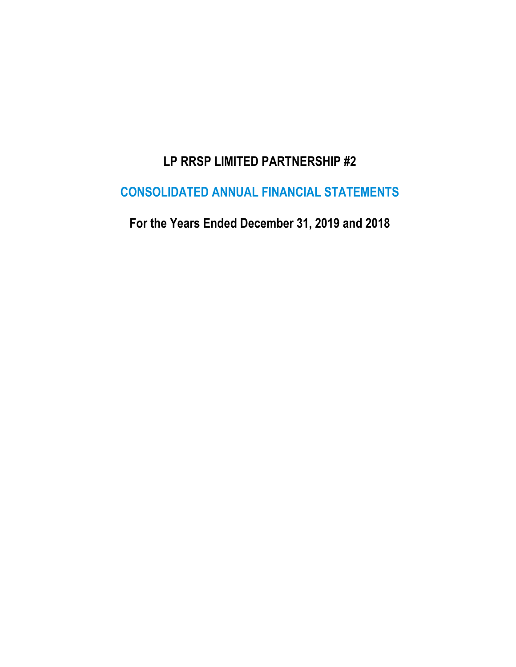# **LP RRSP LIMITED PARTNERSHIP #2**

## **CONSOLIDATED ANNUAL FINANCIAL STATEMENTS**

**For the Years Ended December 31, 2019 and 2018**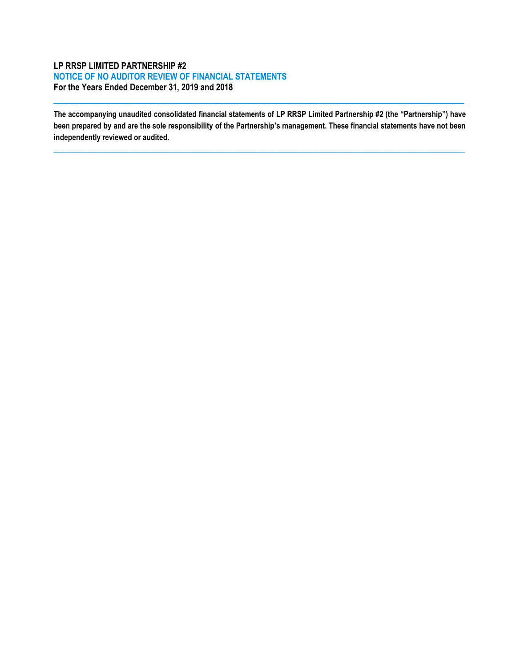## **LP RRSP LIMITED PARTNERSHIP #2 NOTICE OF NO AUDITOR REVIEW OF FINANCIAL STATEMENTS For the Years Ended December 31, 2019 and 2018**

**The accompanying unaudited consolidated financial statements of LP RRSP Limited Partnership #2 (the "Partnership") have been prepared by and are the sole responsibility of the Partnership's management. These financial statements have not been independently reviewed or audited.**

**\_\_\_\_\_\_\_\_\_\_\_\_\_\_\_\_\_\_\_\_\_\_\_\_\_\_\_\_\_\_\_\_\_\_\_\_\_\_\_\_\_\_\_\_\_\_\_\_\_\_\_\_\_\_\_\_\_\_\_\_\_\_\_\_\_\_\_\_\_\_\_\_\_\_\_\_\_\_\_\_\_\_\_\_\_\_\_\_\_\_\_\_\_\_\_\_\_\_\_\_\_\_\_\_\_\_\_**

 $\_$  ,  $\_$  ,  $\_$  ,  $\_$  ,  $\_$  ,  $\_$  ,  $\_$  ,  $\_$  ,  $\_$  ,  $\_$  ,  $\_$  ,  $\_$  ,  $\_$  ,  $\_$  ,  $\_$  ,  $\_$  ,  $\_$  ,  $\_$  ,  $\_$  ,  $\_$  ,  $\_$  ,  $\_$  ,  $\_$  ,  $\_$  ,  $\_$  ,  $\_$  ,  $\_$  ,  $\_$  ,  $\_$  ,  $\_$  ,  $\_$  ,  $\_$  ,  $\_$  ,  $\_$  ,  $\_$  ,  $\_$  ,  $\_$  ,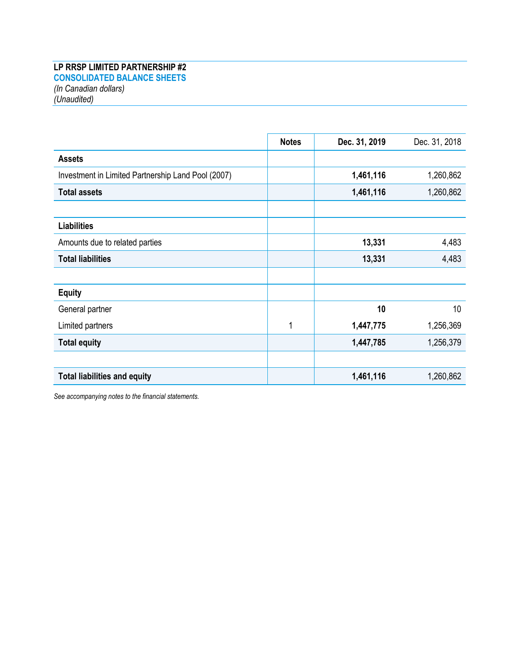## **LP RRSP LIMITED PARTNERSHIP #2**

**CONSOLIDATED BALANCE SHEETS** *(In Canadian dollars) (Unaudited)*

|                                                    | <b>Notes</b> | Dec. 31, 2019 | Dec. 31, 2018 |
|----------------------------------------------------|--------------|---------------|---------------|
| <b>Assets</b>                                      |              |               |               |
| Investment in Limited Partnership Land Pool (2007) |              | 1,461,116     | 1,260,862     |
| <b>Total assets</b>                                |              | 1,461,116     | 1,260,862     |
|                                                    |              |               |               |
| <b>Liabilities</b>                                 |              |               |               |
| Amounts due to related parties                     |              | 13,331        | 4,483         |
| <b>Total liabilities</b>                           |              | 13,331        | 4,483         |
|                                                    |              |               |               |
| <b>Equity</b>                                      |              |               |               |
| General partner                                    |              | 10            | 10            |
| Limited partners                                   | 1            | 1,447,775     | 1,256,369     |
| <b>Total equity</b>                                |              | 1,447,785     | 1,256,379     |
|                                                    |              |               |               |
| <b>Total liabilities and equity</b>                |              | 1,461,116     | 1,260,862     |

*See accompanying notes to the financial statements.*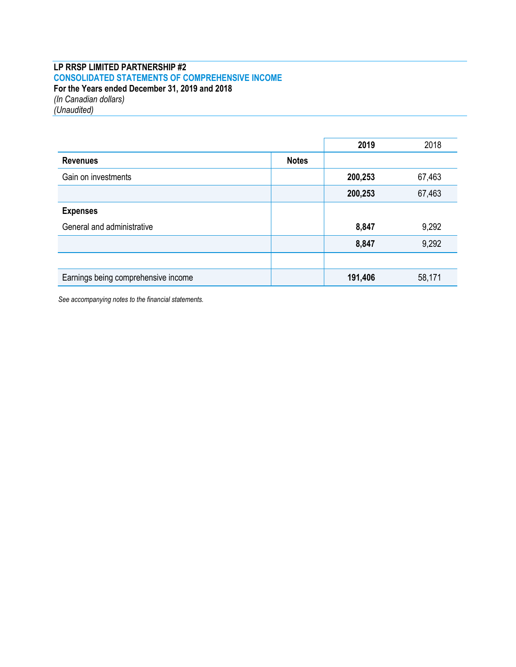## **LP RRSP LIMITED PARTNERSHIP #2 CONSOLIDATED STATEMENTS OF COMPREHENSIVE INCOME For the Years ended December 31, 2019 and 2018** *(In Canadian dollars)*

*(Unaudited)*

|                                     |              | 2019    | 2018   |
|-------------------------------------|--------------|---------|--------|
| <b>Revenues</b>                     | <b>Notes</b> |         |        |
| Gain on investments                 |              | 200,253 | 67,463 |
|                                     |              | 200,253 | 67,463 |
| <b>Expenses</b>                     |              |         |        |
| General and administrative          |              | 8,847   | 9,292  |
|                                     |              | 8,847   | 9,292  |
|                                     |              |         |        |
| Earnings being comprehensive income |              | 191,406 | 58,171 |

*See accompanying notes to the financial statements.*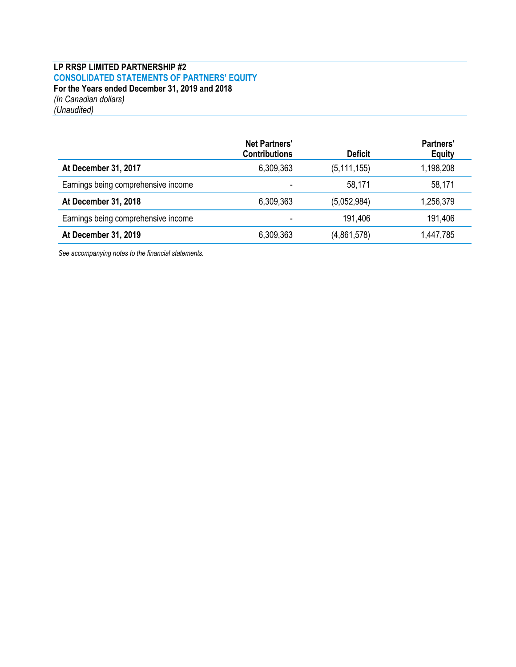## **LP RRSP LIMITED PARTNERSHIP #2 CONSOLIDATED STATEMENTS OF PARTNERS' EQUITY For the Years ended December 31, 2019 and 2018** *(In Canadian dollars) (Unaudited)*

|                                     | <b>Net Partners'</b><br><b>Contributions</b> | <b>Deficit</b> | <b>Partners'</b><br><b>Equity</b> |
|-------------------------------------|----------------------------------------------|----------------|-----------------------------------|
| At December 31, 2017                | 6,309,363                                    | (5, 111, 155)  | 1,198,208                         |
| Earnings being comprehensive income |                                              | 58,171         | 58,171                            |
| At December 31, 2018                | 6,309,363                                    | (5,052,984)    | 1,256,379                         |
| Earnings being comprehensive income |                                              | 191,406        | 191,406                           |
| At December 31, 2019                | 6,309,363                                    | (4,861,578)    | 1,447,785                         |

*See accompanying notes to the financial statements.*